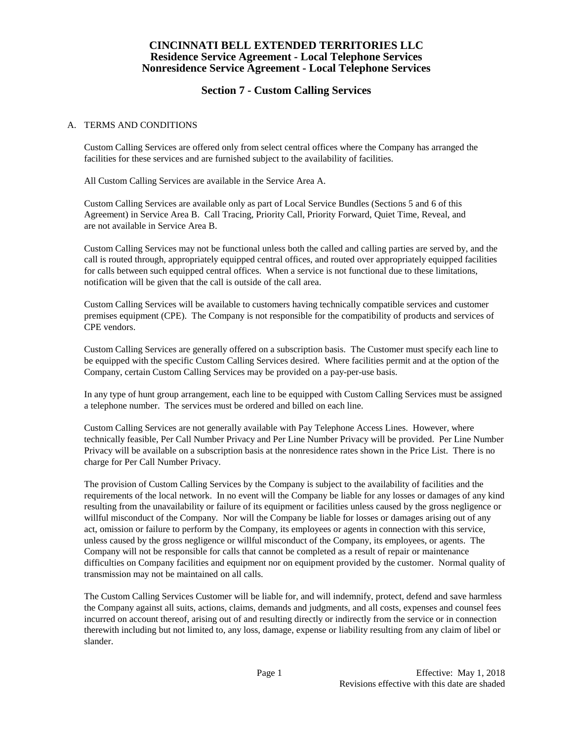# **Section 7 - Custom Calling Services**

#### A. TERMS AND CONDITIONS

Custom Calling Services are offered only from select central offices where the Company has arranged the facilities for these services and are furnished subject to the availability of facilities.

All Custom Calling Services are available in the Service Area A.

Custom Calling Services are available only as part of Local Service Bundles (Sections 5 and 6 of this Agreement) in Service Area B. Call Tracing, Priority Call, Priority Forward, Quiet Time, Reveal, and are not available in Service Area B.

Custom Calling Services may not be functional unless both the called and calling parties are served by, and the call is routed through, appropriately equipped central offices, and routed over appropriately equipped facilities for calls between such equipped central offices. When a service is not functional due to these limitations, notification will be given that the call is outside of the call area.

Custom Calling Services will be available to customers having technically compatible services and customer premises equipment (CPE). The Company is not responsible for the compatibility of products and services of CPE vendors.

Custom Calling Services are generally offered on a subscription basis. The Customer must specify each line to be equipped with the specific Custom Calling Services desired. Where facilities permit and at the option of the Company, certain Custom Calling Services may be provided on a pay-per-use basis.

In any type of hunt group arrangement, each line to be equipped with Custom Calling Services must be assigned a telephone number. The services must be ordered and billed on each line.

Custom Calling Services are not generally available with Pay Telephone Access Lines. However, where technically feasible, Per Call Number Privacy and Per Line Number Privacy will be provided. Per Line Number Privacy will be available on a subscription basis at the nonresidence rates shown in the Price List. There is no charge for Per Call Number Privacy.

The provision of Custom Calling Services by the Company is subject to the availability of facilities and the requirements of the local network. In no event will the Company be liable for any losses or damages of any kind resulting from the unavailability or failure of its equipment or facilities unless caused by the gross negligence or willful misconduct of the Company. Nor will the Company be liable for losses or damages arising out of any act, omission or failure to perform by the Company, its employees or agents in connection with this service, unless caused by the gross negligence or willful misconduct of the Company, its employees, or agents. The Company will not be responsible for calls that cannot be completed as a result of repair or maintenance difficulties on Company facilities and equipment nor on equipment provided by the customer. Normal quality of transmission may not be maintained on all calls.

The Custom Calling Services Customer will be liable for, and will indemnify, protect, defend and save harmless the Company against all suits, actions, claims, demands and judgments, and all costs, expenses and counsel fees incurred on account thereof, arising out of and resulting directly or indirectly from the service or in connection therewith including but not limited to, any loss, damage, expense or liability resulting from any claim of libel or slander.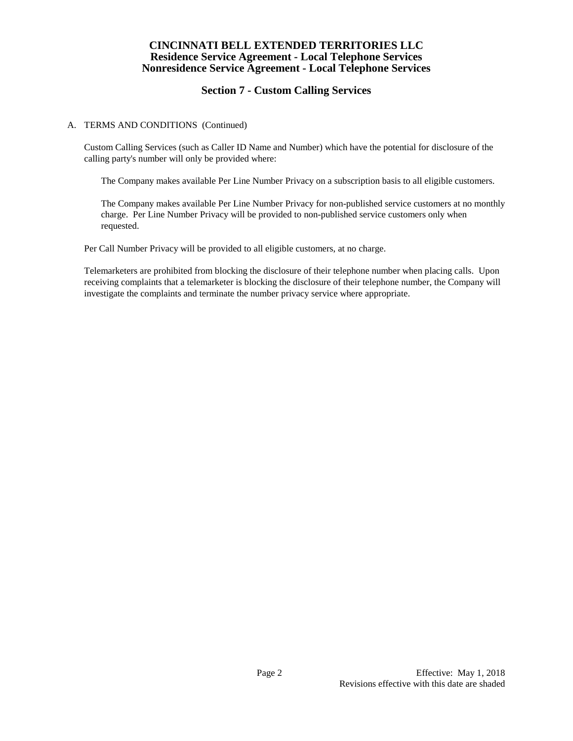# **Section 7 - Custom Calling Services**

#### A. TERMS AND CONDITIONS (Continued)

Custom Calling Services (such as Caller ID Name and Number) which have the potential for disclosure of the calling party's number will only be provided where:

The Company makes available Per Line Number Privacy on a subscription basis to all eligible customers.

The Company makes available Per Line Number Privacy for non-published service customers at no monthly charge. Per Line Number Privacy will be provided to non-published service customers only when requested.

Per Call Number Privacy will be provided to all eligible customers, at no charge.

Telemarketers are prohibited from blocking the disclosure of their telephone number when placing calls. Upon receiving complaints that a telemarketer is blocking the disclosure of their telephone number, the Company will investigate the complaints and terminate the number privacy service where appropriate.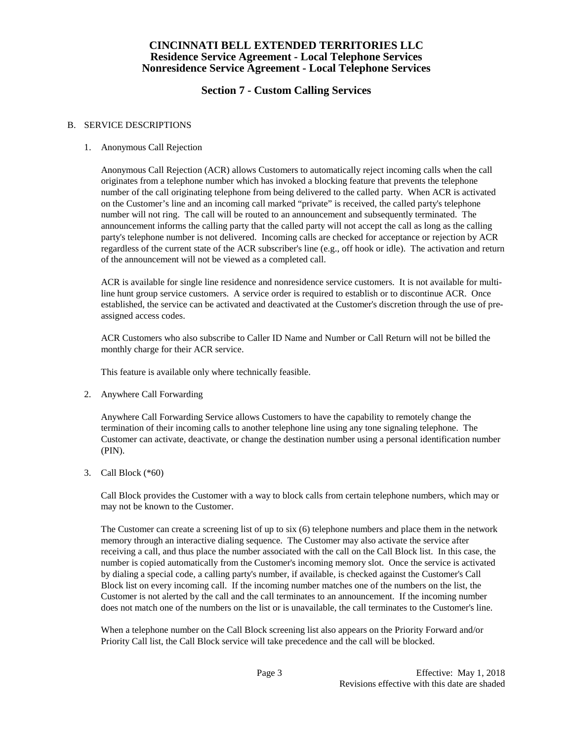# **Section 7 - Custom Calling Services**

#### B. SERVICE DESCRIPTIONS

## 1. Anonymous Call Rejection

Anonymous Call Rejection (ACR) allows Customers to automatically reject incoming calls when the call originates from a telephone number which has invoked a blocking feature that prevents the telephone number of the call originating telephone from being delivered to the called party. When ACR is activated on the Customer's line and an incoming call marked "private" is received, the called party's telephone number will not ring. The call will be routed to an announcement and subsequently terminated. The announcement informs the calling party that the called party will not accept the call as long as the calling party's telephone number is not delivered. Incoming calls are checked for acceptance or rejection by ACR regardless of the current state of the ACR subscriber's line (e.g., off hook or idle). The activation and return of the announcement will not be viewed as a completed call.

ACR is available for single line residence and nonresidence service customers. It is not available for multiline hunt group service customers. A service order is required to establish or to discontinue ACR. Once established, the service can be activated and deactivated at the Customer's discretion through the use of preassigned access codes.

ACR Customers who also subscribe to Caller ID Name and Number or Call Return will not be billed the monthly charge for their ACR service.

This feature is available only where technically feasible.

2. Anywhere Call Forwarding

Anywhere Call Forwarding Service allows Customers to have the capability to remotely change the termination of their incoming calls to another telephone line using any tone signaling telephone. The Customer can activate, deactivate, or change the destination number using a personal identification number (PIN).

3. Call Block (\*60)

Call Block provides the Customer with a way to block calls from certain telephone numbers, which may or may not be known to the Customer.

The Customer can create a screening list of up to six (6) telephone numbers and place them in the network memory through an interactive dialing sequence. The Customer may also activate the service after receiving a call, and thus place the number associated with the call on the Call Block list. In this case, the number is copied automatically from the Customer's incoming memory slot. Once the service is activated by dialing a special code, a calling party's number, if available, is checked against the Customer's Call Block list on every incoming call. If the incoming number matches one of the numbers on the list, the Customer is not alerted by the call and the call terminates to an announcement. If the incoming number does not match one of the numbers on the list or is unavailable, the call terminates to the Customer's line.

When a telephone number on the Call Block screening list also appears on the Priority Forward and/or Priority Call list, the Call Block service will take precedence and the call will be blocked.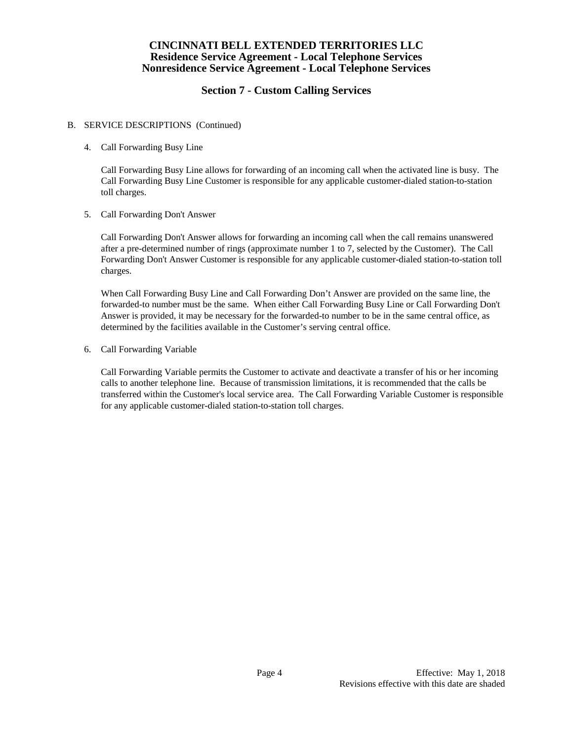# **Section 7 - Custom Calling Services**

### B. SERVICE DESCRIPTIONS (Continued)

4. Call Forwarding Busy Line

Call Forwarding Busy Line allows for forwarding of an incoming call when the activated line is busy. The Call Forwarding Busy Line Customer is responsible for any applicable customer-dialed station-to-station toll charges.

5. Call Forwarding Don't Answer

Call Forwarding Don't Answer allows for forwarding an incoming call when the call remains unanswered after a pre-determined number of rings (approximate number 1 to 7, selected by the Customer). The Call Forwarding Don't Answer Customer is responsible for any applicable customer-dialed station-to-station toll charges.

When Call Forwarding Busy Line and Call Forwarding Don't Answer are provided on the same line, the forwarded-to number must be the same. When either Call Forwarding Busy Line or Call Forwarding Don't Answer is provided, it may be necessary for the forwarded-to number to be in the same central office, as determined by the facilities available in the Customer's serving central office.

6. Call Forwarding Variable

Call Forwarding Variable permits the Customer to activate and deactivate a transfer of his or her incoming calls to another telephone line. Because of transmission limitations, it is recommended that the calls be transferred within the Customer's local service area. The Call Forwarding Variable Customer is responsible for any applicable customer-dialed station-to-station toll charges.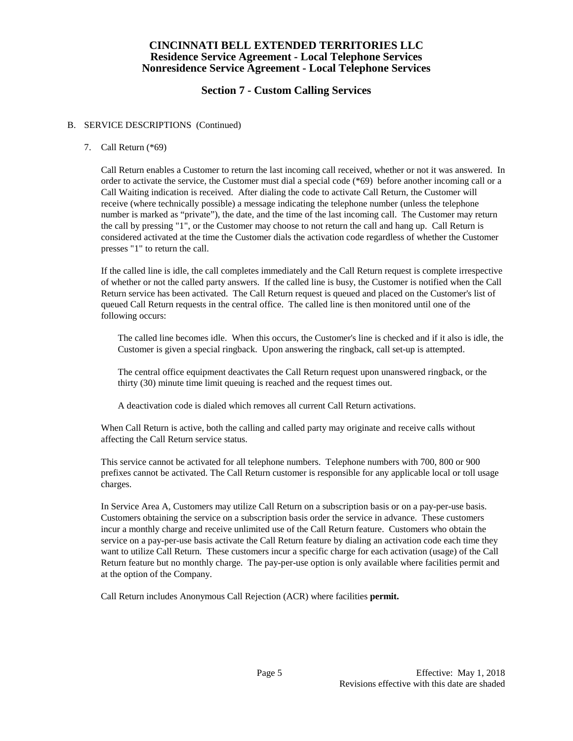# **Section 7 - Custom Calling Services**

#### B. SERVICE DESCRIPTIONS (Continued)

### 7. Call Return (\*69)

Call Return enables a Customer to return the last incoming call received, whether or not it was answered. In order to activate the service, the Customer must dial a special code (\*69) before another incoming call or a Call Waiting indication is received. After dialing the code to activate Call Return, the Customer will receive (where technically possible) a message indicating the telephone number (unless the telephone number is marked as "private"), the date, and the time of the last incoming call. The Customer may return the call by pressing "1", or the Customer may choose to not return the call and hang up. Call Return is considered activated at the time the Customer dials the activation code regardless of whether the Customer presses "1" to return the call.

If the called line is idle, the call completes immediately and the Call Return request is complete irrespective of whether or not the called party answers. If the called line is busy, the Customer is notified when the Call Return service has been activated. The Call Return request is queued and placed on the Customer's list of queued Call Return requests in the central office. The called line is then monitored until one of the following occurs:

The called line becomes idle. When this occurs, the Customer's line is checked and if it also is idle, the Customer is given a special ringback. Upon answering the ringback, call set-up is attempted.

The central office equipment deactivates the Call Return request upon unanswered ringback, or the thirty (30) minute time limit queuing is reached and the request times out.

A deactivation code is dialed which removes all current Call Return activations.

When Call Return is active, both the calling and called party may originate and receive calls without affecting the Call Return service status.

This service cannot be activated for all telephone numbers. Telephone numbers with 700, 800 or 900 prefixes cannot be activated. The Call Return customer is responsible for any applicable local or toll usage charges.

In Service Area A, Customers may utilize Call Return on a subscription basis or on a pay-per-use basis. Customers obtaining the service on a subscription basis order the service in advance. These customers incur a monthly charge and receive unlimited use of the Call Return feature. Customers who obtain the service on a pay-per-use basis activate the Call Return feature by dialing an activation code each time they want to utilize Call Return. These customers incur a specific charge for each activation (usage) of the Call Return feature but no monthly charge. The pay-per-use option is only available where facilities permit and at the option of the Company.

Call Return includes Anonymous Call Rejection (ACR) where facilities **permit.**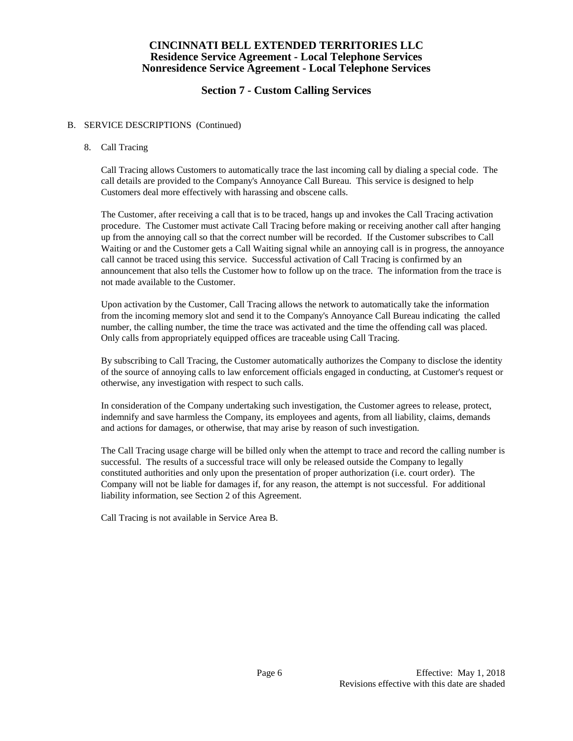# **Section 7 - Custom Calling Services**

### B. SERVICE DESCRIPTIONS (Continued)

### 8. Call Tracing

Call Tracing allows Customers to automatically trace the last incoming call by dialing a special code. The call details are provided to the Company's Annoyance Call Bureau. This service is designed to help Customers deal more effectively with harassing and obscene calls.

The Customer, after receiving a call that is to be traced, hangs up and invokes the Call Tracing activation procedure. The Customer must activate Call Tracing before making or receiving another call after hanging up from the annoying call so that the correct number will be recorded. If the Customer subscribes to Call Waiting or and the Customer gets a Call Waiting signal while an annoying call is in progress, the annoyance call cannot be traced using this service. Successful activation of Call Tracing is confirmed by an announcement that also tells the Customer how to follow up on the trace. The information from the trace is not made available to the Customer.

Upon activation by the Customer, Call Tracing allows the network to automatically take the information from the incoming memory slot and send it to the Company's Annoyance Call Bureau indicating the called number, the calling number, the time the trace was activated and the time the offending call was placed. Only calls from appropriately equipped offices are traceable using Call Tracing.

By subscribing to Call Tracing, the Customer automatically authorizes the Company to disclose the identity of the source of annoying calls to law enforcement officials engaged in conducting, at Customer's request or otherwise, any investigation with respect to such calls.

In consideration of the Company undertaking such investigation, the Customer agrees to release, protect, indemnify and save harmless the Company, its employees and agents, from all liability, claims, demands and actions for damages, or otherwise, that may arise by reason of such investigation.

The Call Tracing usage charge will be billed only when the attempt to trace and record the calling number is successful. The results of a successful trace will only be released outside the Company to legally constituted authorities and only upon the presentation of proper authorization (i.e. court order). The Company will not be liable for damages if, for any reason, the attempt is not successful. For additional liability information, see Section 2 of this Agreement.

Call Tracing is not available in Service Area B.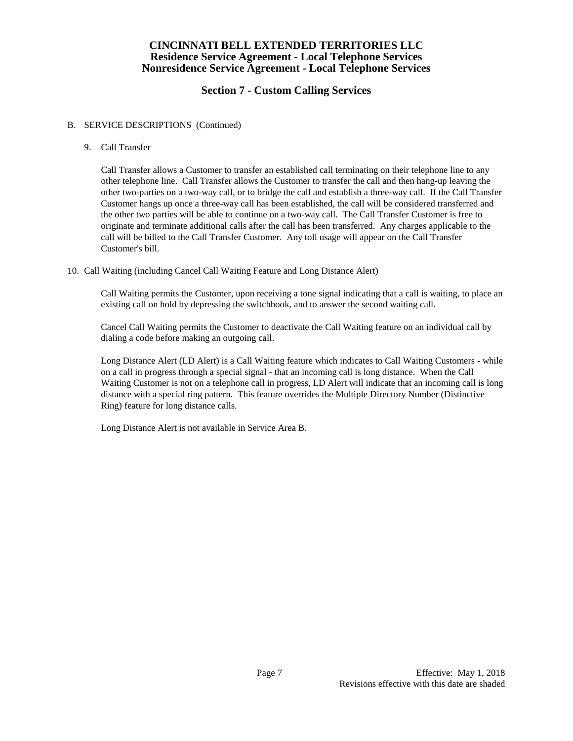# **Section 7 - Custom Calling Services**

## B. SERVICE DESCRIPTIONS (Continued)

9. Call Transfer

Call Transfer allows a Customer to transfer an established call terminating on their telephone line to any other telephone line. Call Transfer allows the Customer to transfer the call and then hang-up leaving the other two-parties on a two-way call, or to bridge the call and establish a three-way call. If the Call Transfer Customer hangs up once a three-way call has been established, the call will be considered transferred and the other two parties will be able to continue on a two-way call. The Call Transfer Customer is free to originate and terminate additional calls after the call has been transferred. Any charges applicable to the call will be billed to the Call Transfer Customer. Any toll usage will appear on the Call Transfer Customer's bill.

10. Call Waiting (including Cancel Call Waiting Feature and Long Distance Alert)

Call Waiting permits the Customer, upon receiving a tone signal indicating that a call is waiting, to place an existing call on hold by depressing the switchhook, and to answer the second waiting call.

Cancel Call Waiting permits the Customer to deactivate the Call Waiting feature on an individual call by dialing a code before making an outgoing call.

Long Distance Alert (LD Alert) is a Call Waiting feature which indicates to Call Waiting Customers - while on a call in progress through a special signal - that an incoming call is long distance. When the Call Waiting Customer is not on a telephone call in progress, LD Alert will indicate that an incoming call is long distance with a special ring pattern. This feature overrides the Multiple Directory Number (Distinctive Ring) feature for long distance calls.

Long Distance Alert is not available in Service Area B.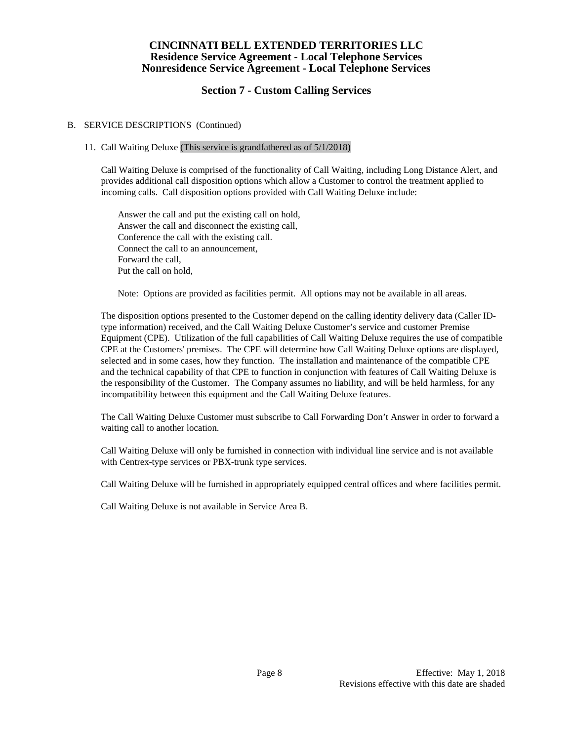# **Section 7 - Custom Calling Services**

## B. SERVICE DESCRIPTIONS (Continued)

# 11. Call Waiting Deluxe (This service is grandfathered as of 5/1/2018)

Call Waiting Deluxe is comprised of the functionality of Call Waiting, including Long Distance Alert, and provides additional call disposition options which allow a Customer to control the treatment applied to incoming calls. Call disposition options provided with Call Waiting Deluxe include:

Answer the call and put the existing call on hold, Answer the call and disconnect the existing call, Conference the call with the existing call. Connect the call to an announcement, Forward the call, Put the call on hold,

Note: Options are provided as facilities permit. All options may not be available in all areas.

The disposition options presented to the Customer depend on the calling identity delivery data (Caller IDtype information) received, and the Call Waiting Deluxe Customer's service and customer Premise Equipment (CPE). Utilization of the full capabilities of Call Waiting Deluxe requires the use of compatible CPE at the Customers' premises. The CPE will determine how Call Waiting Deluxe options are displayed, selected and in some cases, how they function. The installation and maintenance of the compatible CPE and the technical capability of that CPE to function in conjunction with features of Call Waiting Deluxe is the responsibility of the Customer. The Company assumes no liability, and will be held harmless, for any incompatibility between this equipment and the Call Waiting Deluxe features.

The Call Waiting Deluxe Customer must subscribe to Call Forwarding Don't Answer in order to forward a waiting call to another location.

Call Waiting Deluxe will only be furnished in connection with individual line service and is not available with Centrex-type services or PBX-trunk type services.

Call Waiting Deluxe will be furnished in appropriately equipped central offices and where facilities permit.

Call Waiting Deluxe is not available in Service Area B.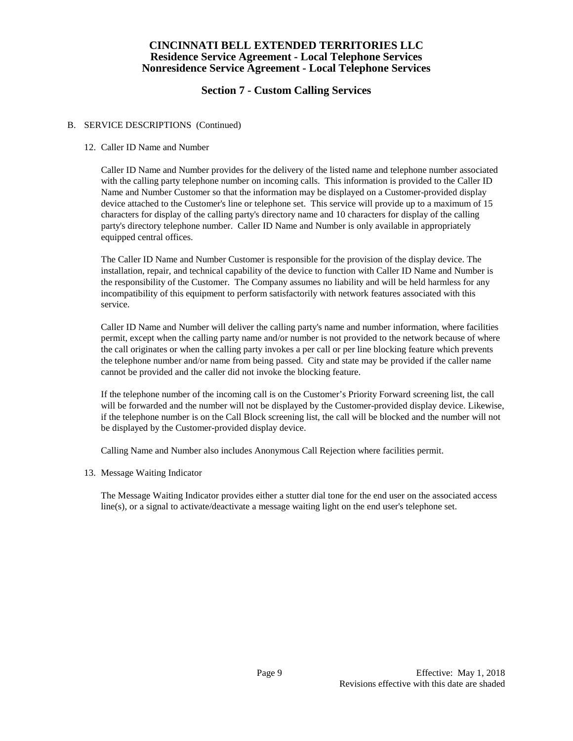# **Section 7 - Custom Calling Services**

## B. SERVICE DESCRIPTIONS (Continued)

### 12. Caller ID Name and Number

Caller ID Name and Number provides for the delivery of the listed name and telephone number associated with the calling party telephone number on incoming calls. This information is provided to the Caller ID Name and Number Customer so that the information may be displayed on a Customer-provided display device attached to the Customer's line or telephone set. This service will provide up to a maximum of 15 characters for display of the calling party's directory name and 10 characters for display of the calling party's directory telephone number. Caller ID Name and Number is only available in appropriately equipped central offices.

The Caller ID Name and Number Customer is responsible for the provision of the display device. The installation, repair, and technical capability of the device to function with Caller ID Name and Number is the responsibility of the Customer. The Company assumes no liability and will be held harmless for any incompatibility of this equipment to perform satisfactorily with network features associated with this service.

Caller ID Name and Number will deliver the calling party's name and number information, where facilities permit, except when the calling party name and/or number is not provided to the network because of where the call originates or when the calling party invokes a per call or per line blocking feature which prevents the telephone number and/or name from being passed. City and state may be provided if the caller name cannot be provided and the caller did not invoke the blocking feature.

If the telephone number of the incoming call is on the Customer's Priority Forward screening list, the call will be forwarded and the number will not be displayed by the Customer-provided display device. Likewise, if the telephone number is on the Call Block screening list, the call will be blocked and the number will not be displayed by the Customer-provided display device.

Calling Name and Number also includes Anonymous Call Rejection where facilities permit.

#### 13. Message Waiting Indicator

The Message Waiting Indicator provides either a stutter dial tone for the end user on the associated access line(s), or a signal to activate/deactivate a message waiting light on the end user's telephone set.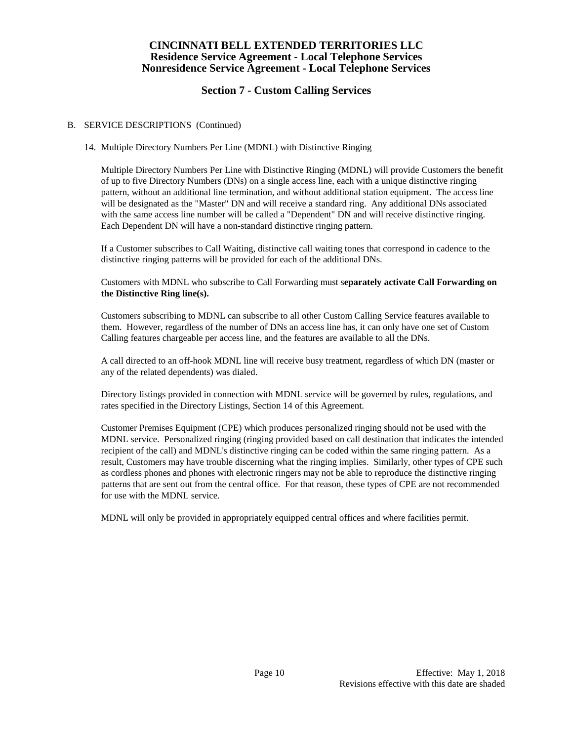# **Section 7 - Custom Calling Services**

### B. SERVICE DESCRIPTIONS (Continued)

## 14. Multiple Directory Numbers Per Line (MDNL) with Distinctive Ringing

Multiple Directory Numbers Per Line with Distinctive Ringing (MDNL) will provide Customers the benefit of up to five Directory Numbers (DNs) on a single access line, each with a unique distinctive ringing pattern, without an additional line termination, and without additional station equipment. The access line will be designated as the "Master" DN and will receive a standard ring. Any additional DNs associated with the same access line number will be called a "Dependent" DN and will receive distinctive ringing. Each Dependent DN will have a non-standard distinctive ringing pattern.

If a Customer subscribes to Call Waiting, distinctive call waiting tones that correspond in cadence to the distinctive ringing patterns will be provided for each of the additional DNs.

Customers with MDNL who subscribe to Call Forwarding must s**eparately activate Call Forwarding on the Distinctive Ring line(s).**

Customers subscribing to MDNL can subscribe to all other Custom Calling Service features available to them. However, regardless of the number of DNs an access line has, it can only have one set of Custom Calling features chargeable per access line, and the features are available to all the DNs.

A call directed to an off-hook MDNL line will receive busy treatment, regardless of which DN (master or any of the related dependents) was dialed.

Directory listings provided in connection with MDNL service will be governed by rules, regulations, and rates specified in the Directory Listings, Section 14 of this Agreement.

Customer Premises Equipment (CPE) which produces personalized ringing should not be used with the MDNL service. Personalized ringing (ringing provided based on call destination that indicates the intended recipient of the call) and MDNL's distinctive ringing can be coded within the same ringing pattern. As a result, Customers may have trouble discerning what the ringing implies. Similarly, other types of CPE such as cordless phones and phones with electronic ringers may not be able to reproduce the distinctive ringing patterns that are sent out from the central office. For that reason, these types of CPE are not recommended for use with the MDNL service.

MDNL will only be provided in appropriately equipped central offices and where facilities permit.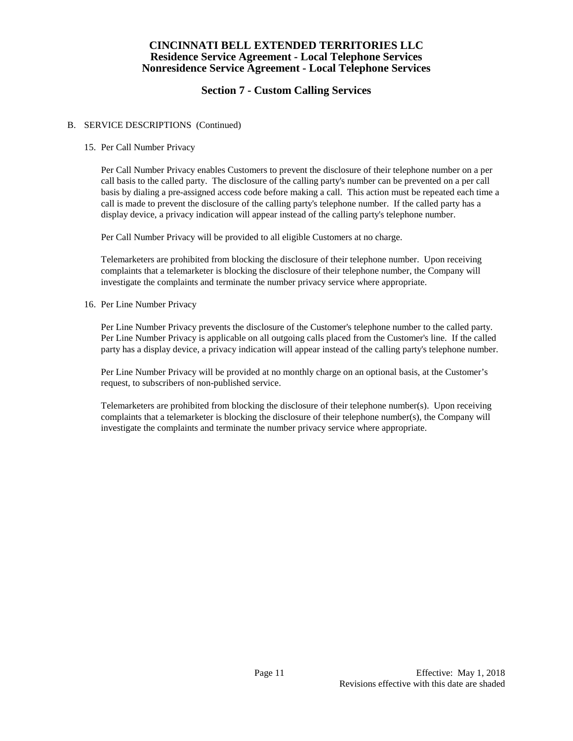# **Section 7 - Custom Calling Services**

### B. SERVICE DESCRIPTIONS (Continued)

### 15. Per Call Number Privacy

Per Call Number Privacy enables Customers to prevent the disclosure of their telephone number on a per call basis to the called party. The disclosure of the calling party's number can be prevented on a per call basis by dialing a pre-assigned access code before making a call. This action must be repeated each time a call is made to prevent the disclosure of the calling party's telephone number. If the called party has a display device, a privacy indication will appear instead of the calling party's telephone number.

Per Call Number Privacy will be provided to all eligible Customers at no charge.

Telemarketers are prohibited from blocking the disclosure of their telephone number. Upon receiving complaints that a telemarketer is blocking the disclosure of their telephone number, the Company will investigate the complaints and terminate the number privacy service where appropriate.

16. Per Line Number Privacy

Per Line Number Privacy prevents the disclosure of the Customer's telephone number to the called party. Per Line Number Privacy is applicable on all outgoing calls placed from the Customer's line. If the called party has a display device, a privacy indication will appear instead of the calling party's telephone number.

Per Line Number Privacy will be provided at no monthly charge on an optional basis, at the Customer's request, to subscribers of non-published service.

Telemarketers are prohibited from blocking the disclosure of their telephone number(s). Upon receiving complaints that a telemarketer is blocking the disclosure of their telephone number(s), the Company will investigate the complaints and terminate the number privacy service where appropriate.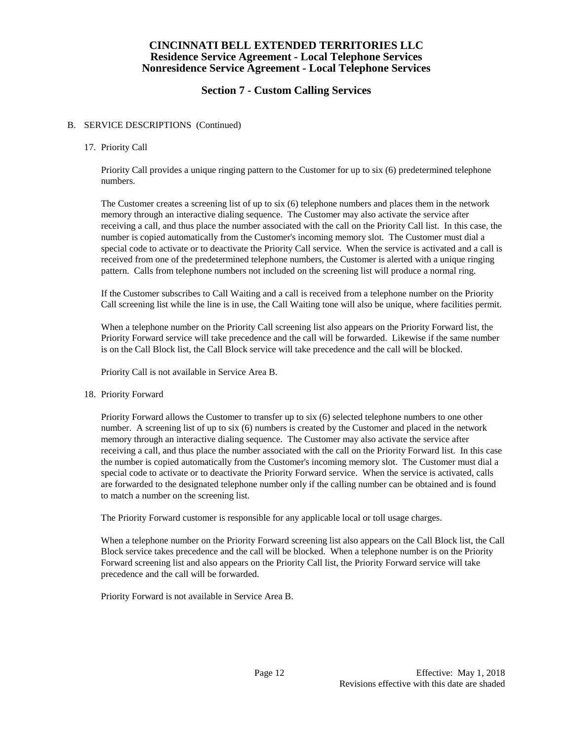# **Section 7 - Custom Calling Services**

#### B. SERVICE DESCRIPTIONS (Continued)

#### 17. Priority Call

Priority Call provides a unique ringing pattern to the Customer for up to six (6) predetermined telephone numbers.

The Customer creates a screening list of up to six (6) telephone numbers and places them in the network memory through an interactive dialing sequence. The Customer may also activate the service after receiving a call, and thus place the number associated with the call on the Priority Call list. In this case, the number is copied automatically from the Customer's incoming memory slot. The Customer must dial a special code to activate or to deactivate the Priority Call service. When the service is activated and a call is received from one of the predetermined telephone numbers, the Customer is alerted with a unique ringing pattern. Calls from telephone numbers not included on the screening list will produce a normal ring.

If the Customer subscribes to Call Waiting and a call is received from a telephone number on the Priority Call screening list while the line is in use, the Call Waiting tone will also be unique, where facilities permit.

When a telephone number on the Priority Call screening list also appears on the Priority Forward list, the Priority Forward service will take precedence and the call will be forwarded. Likewise if the same number is on the Call Block list, the Call Block service will take precedence and the call will be blocked.

Priority Call is not available in Service Area B.

#### 18. Priority Forward

Priority Forward allows the Customer to transfer up to six (6) selected telephone numbers to one other number. A screening list of up to six (6) numbers is created by the Customer and placed in the network memory through an interactive dialing sequence. The Customer may also activate the service after receiving a call, and thus place the number associated with the call on the Priority Forward list. In this case the number is copied automatically from the Customer's incoming memory slot. The Customer must dial a special code to activate or to deactivate the Priority Forward service. When the service is activated, calls are forwarded to the designated telephone number only if the calling number can be obtained and is found to match a number on the screening list.

The Priority Forward customer is responsible for any applicable local or toll usage charges.

When a telephone number on the Priority Forward screening list also appears on the Call Block list, the Call Block service takes precedence and the call will be blocked. When a telephone number is on the Priority Forward screening list and also appears on the Priority Call list, the Priority Forward service will take precedence and the call will be forwarded.

Priority Forward is not available in Service Area B.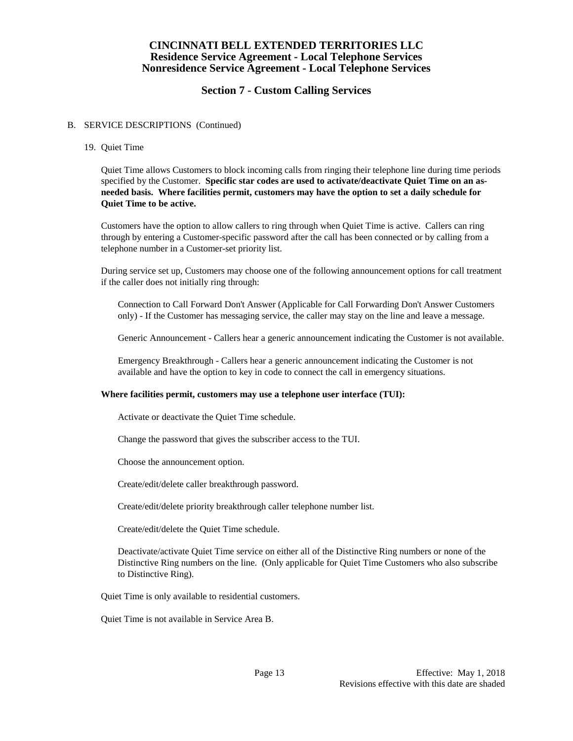# **Section 7 - Custom Calling Services**

#### B. SERVICE DESCRIPTIONS (Continued)

19. Quiet Time

Quiet Time allows Customers to block incoming calls from ringing their telephone line during time periods specified by the Customer. **Specific star codes are used to activate/deactivate Quiet Time on an asneeded basis. Where facilities permit, customers may have the option to set a daily schedule for Quiet Time to be active.**

Customers have the option to allow callers to ring through when Quiet Time is active. Callers can ring through by entering a Customer-specific password after the call has been connected or by calling from a telephone number in a Customer-set priority list.

During service set up, Customers may choose one of the following announcement options for call treatment if the caller does not initially ring through:

Connection to Call Forward Don't Answer (Applicable for Call Forwarding Don't Answer Customers only) - If the Customer has messaging service, the caller may stay on the line and leave a message.

Generic Announcement - Callers hear a generic announcement indicating the Customer is not available.

Emergency Breakthrough - Callers hear a generic announcement indicating the Customer is not available and have the option to key in code to connect the call in emergency situations.

#### **Where facilities permit, customers may use a telephone user interface (TUI):**

Activate or deactivate the Quiet Time schedule.

Change the password that gives the subscriber access to the TUI.

Choose the announcement option.

Create/edit/delete caller breakthrough password.

Create/edit/delete priority breakthrough caller telephone number list.

Create/edit/delete the Quiet Time schedule.

Deactivate/activate Quiet Time service on either all of the Distinctive Ring numbers or none of the Distinctive Ring numbers on the line. (Only applicable for Quiet Time Customers who also subscribe to Distinctive Ring).

Quiet Time is only available to residential customers.

Quiet Time is not available in Service Area B.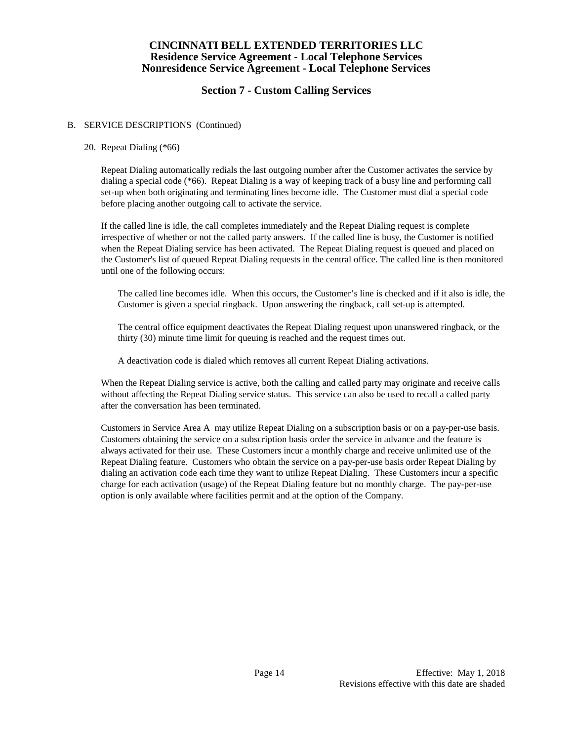# **Section 7 - Custom Calling Services**

#### B. SERVICE DESCRIPTIONS (Continued)

#### 20. Repeat Dialing (\*66)

Repeat Dialing automatically redials the last outgoing number after the Customer activates the service by dialing a special code (\*66). Repeat Dialing is a way of keeping track of a busy line and performing call set-up when both originating and terminating lines become idle. The Customer must dial a special code before placing another outgoing call to activate the service.

If the called line is idle, the call completes immediately and the Repeat Dialing request is complete irrespective of whether or not the called party answers. If the called line is busy, the Customer is notified when the Repeat Dialing service has been activated. The Repeat Dialing request is queued and placed on the Customer's list of queued Repeat Dialing requests in the central office. The called line is then monitored until one of the following occurs:

The called line becomes idle. When this occurs, the Customer's line is checked and if it also is idle, the Customer is given a special ringback. Upon answering the ringback, call set-up is attempted.

The central office equipment deactivates the Repeat Dialing request upon unanswered ringback, or the thirty (30) minute time limit for queuing is reached and the request times out.

A deactivation code is dialed which removes all current Repeat Dialing activations.

When the Repeat Dialing service is active, both the calling and called party may originate and receive calls without affecting the Repeat Dialing service status. This service can also be used to recall a called party after the conversation has been terminated.

Customers in Service Area A may utilize Repeat Dialing on a subscription basis or on a pay-per-use basis. Customers obtaining the service on a subscription basis order the service in advance and the feature is always activated for their use. These Customers incur a monthly charge and receive unlimited use of the Repeat Dialing feature. Customers who obtain the service on a pay-per-use basis order Repeat Dialing by dialing an activation code each time they want to utilize Repeat Dialing. These Customers incur a specific charge for each activation (usage) of the Repeat Dialing feature but no monthly charge. The pay-per-use option is only available where facilities permit and at the option of the Company.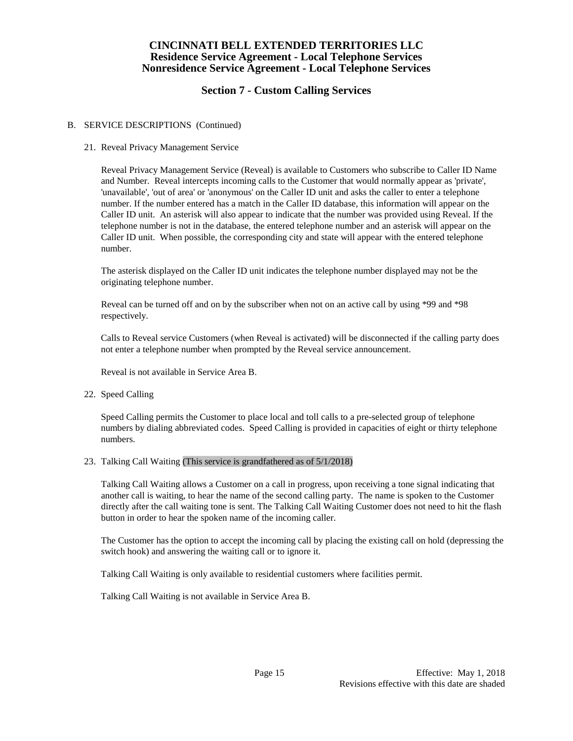# **Section 7 - Custom Calling Services**

### B. SERVICE DESCRIPTIONS (Continued)

### 21. Reveal Privacy Management Service

Reveal Privacy Management Service (Reveal) is available to Customers who subscribe to Caller ID Name and Number. Reveal intercepts incoming calls to the Customer that would normally appear as 'private', 'unavailable', 'out of area' or 'anonymous' on the Caller ID unit and asks the caller to enter a telephone number. If the number entered has a match in the Caller ID database, this information will appear on the Caller ID unit. An asterisk will also appear to indicate that the number was provided using Reveal. If the telephone number is not in the database, the entered telephone number and an asterisk will appear on the Caller ID unit. When possible, the corresponding city and state will appear with the entered telephone number.

The asterisk displayed on the Caller ID unit indicates the telephone number displayed may not be the originating telephone number.

Reveal can be turned off and on by the subscriber when not on an active call by using \*99 and \*98 respectively.

Calls to Reveal service Customers (when Reveal is activated) will be disconnected if the calling party does not enter a telephone number when prompted by the Reveal service announcement.

Reveal is not available in Service Area B.

22. Speed Calling

Speed Calling permits the Customer to place local and toll calls to a pre-selected group of telephone numbers by dialing abbreviated codes. Speed Calling is provided in capacities of eight or thirty telephone numbers.

#### 23. Talking Call Waiting (This service is grandfathered as of 5/1/2018)

Talking Call Waiting allows a Customer on a call in progress, upon receiving a tone signal indicating that another call is waiting, to hear the name of the second calling party. The name is spoken to the Customer directly after the call waiting tone is sent. The Talking Call Waiting Customer does not need to hit the flash button in order to hear the spoken name of the incoming caller.

The Customer has the option to accept the incoming call by placing the existing call on hold (depressing the switch hook) and answering the waiting call or to ignore it.

Talking Call Waiting is only available to residential customers where facilities permit.

Talking Call Waiting is not available in Service Area B.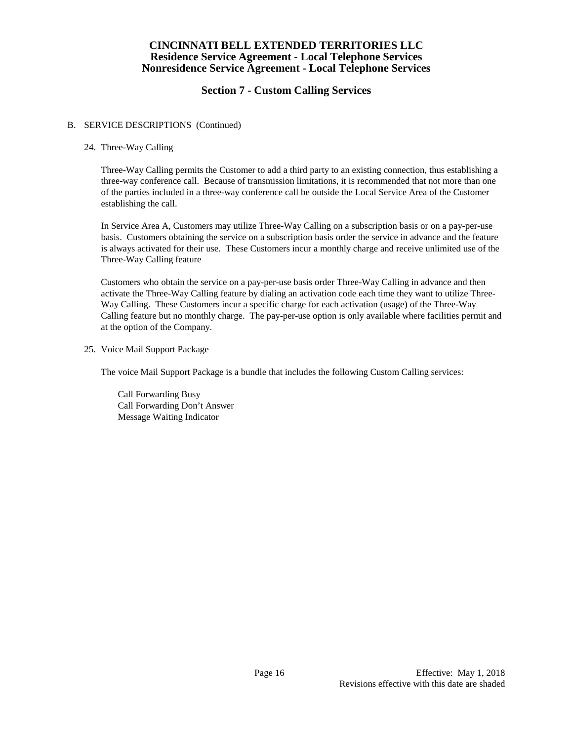# **Section 7 - Custom Calling Services**

### B. SERVICE DESCRIPTIONS (Continued)

## 24. Three-Way Calling

Three-Way Calling permits the Customer to add a third party to an existing connection, thus establishing a three-way conference call. Because of transmission limitations, it is recommended that not more than one of the parties included in a three-way conference call be outside the Local Service Area of the Customer establishing the call.

In Service Area A, Customers may utilize Three-Way Calling on a subscription basis or on a pay-per-use basis. Customers obtaining the service on a subscription basis order the service in advance and the feature is always activated for their use. These Customers incur a monthly charge and receive unlimited use of the Three-Way Calling feature

Customers who obtain the service on a pay-per-use basis order Three-Way Calling in advance and then activate the Three-Way Calling feature by dialing an activation code each time they want to utilize Three-Way Calling. These Customers incur a specific charge for each activation (usage) of the Three-Way Calling feature but no monthly charge. The pay-per-use option is only available where facilities permit and at the option of the Company.

25. Voice Mail Support Package

The voice Mail Support Package is a bundle that includes the following Custom Calling services:

Call Forwarding Busy Call Forwarding Don't Answer Message Waiting Indicator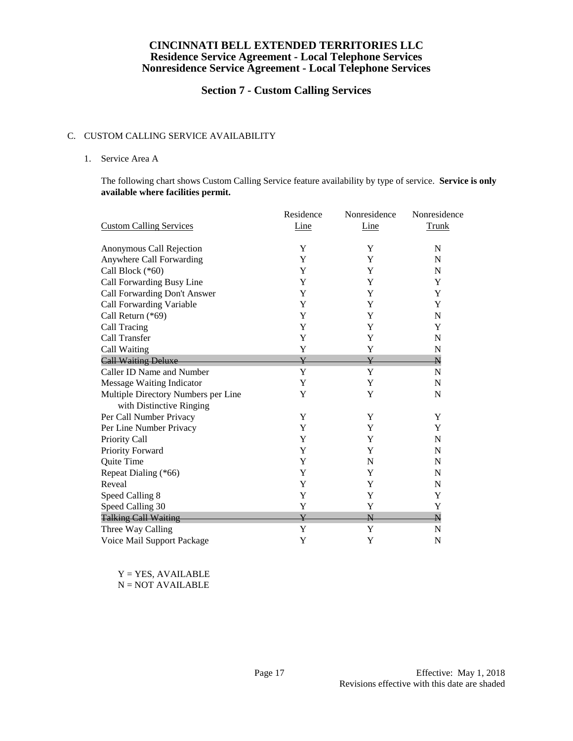# **Section 7 - Custom Calling Services**

#### C. CUSTOM CALLING SERVICE AVAILABILITY

#### 1. Service Area A

The following chart shows Custom Calling Service feature availability by type of service. **Service is only available where facilities permit.**

|                                     | Residence   | Nonresidence            | Nonresidence            |
|-------------------------------------|-------------|-------------------------|-------------------------|
| <b>Custom Calling Services</b>      | Line        | Line                    | <b>Trunk</b>            |
| Anonymous Call Rejection            | Y           | Y                       | $\mathbf N$             |
| Anywhere Call Forwarding            | Y           | Y                       | N                       |
| Call Block (*60)                    | Y           | Y                       | N                       |
| Call Forwarding Busy Line           | Y           | Y                       | Y                       |
| Call Forwarding Don't Answer        | Y           | Y                       | Y                       |
| Call Forwarding Variable            | Y           | Y                       | Y                       |
| Call Return (*69)                   | Y           | Y                       | $\mathbf N$             |
| Call Tracing                        | Y           | Y                       | Y                       |
| Call Transfer                       | Y           | Y                       | N                       |
| Call Waiting                        | Y           | Y                       | N                       |
| <b>Call Waiting Deluxe</b>          | ¥           | Y                       | $\overline{\mathsf{N}}$ |
| Caller ID Name and Number           | Y           | Y                       | N                       |
| Message Waiting Indicator           | Y           | Y                       | N                       |
| Multiple Directory Numbers per Line | Y           | Y                       | N                       |
| with Distinctive Ringing            |             |                         |                         |
| Per Call Number Privacy             | Y           | Y                       | Y                       |
| Per Line Number Privacy             | Y           | Y                       | Y                       |
| Priority Call                       | Y           | Y                       | N                       |
| Priority Forward                    | Y           | Y                       | N                       |
| Quite Time                          | Y           | N                       | $\mathbf N$             |
| Repeat Dialing (*66)                | Y           | Y                       | $\mathbf N$             |
| Reveal                              | Y           | Y                       | N                       |
| Speed Calling 8                     | $\mathbf Y$ | Y                       | Y                       |
| Speed Calling 30                    | Y           | Y                       | Y                       |
| <b>Talking Call Waiting</b>         | Y           | $\overline{\mathsf{N}}$ | $\overline{\mathsf{N}}$ |
| Three Way Calling                   | Y           | Y                       | N                       |
| Voice Mail Support Package          | Y           | Y                       | N                       |

 $Y = YES$ , AVAILABLE N = NOT AVAILABLE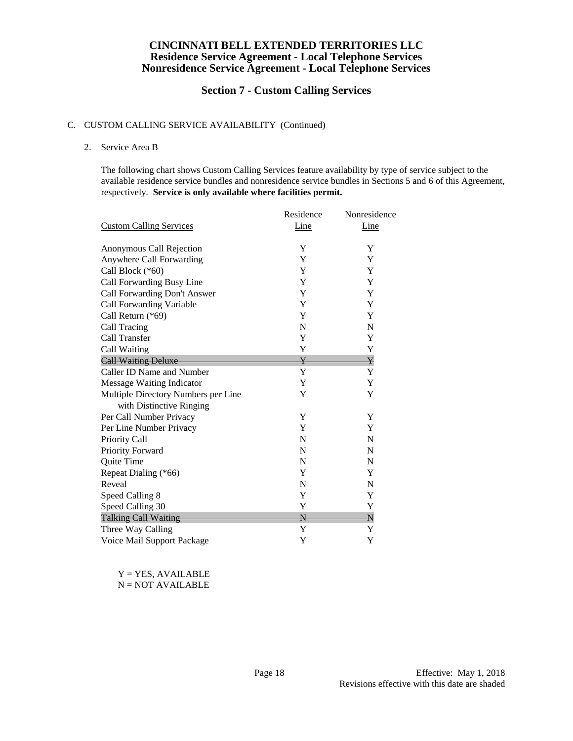# **Section 7 - Custom Calling Services**

### C. CUSTOM CALLING SERVICE AVAILABILITY (Continued)

#### 2. Service Area B

The following chart shows Custom Calling Services feature availability by type of service subject to the available residence service bundles and nonresidence service bundles in Sections 5 and 6 of this Agreement, respectively. **Service is only available where facilities permit.**

|                                     | Residence               | Nonresidence |
|-------------------------------------|-------------------------|--------------|
| <b>Custom Calling Services</b>      | <b>Line</b>             | Line         |
| Anonymous Call Rejection            | Y                       | Y            |
| Anywhere Call Forwarding            | Y                       | Y            |
| Call Block (*60)                    | Y                       | Y            |
| Call Forwarding Busy Line           | Y                       | Y            |
| Call Forwarding Don't Answer        | Y                       | Y            |
| Call Forwarding Variable            | Y                       | Y            |
| Call Return (*69)                   | Y                       | Y            |
| Call Tracing                        | $\mathbf N$             | N            |
| Call Transfer                       | Y                       | Y            |
| Call Waiting                        | Y                       | Y            |
| <b>Call Waiting Deluxe</b>          | $\overline{\mathbf{Y}}$ | ¥            |
| Caller ID Name and Number           | Y                       | Y            |
| Message Waiting Indicator           | Y                       | Y            |
| Multiple Directory Numbers per Line | Y                       | Y            |
| with Distinctive Ringing            |                         |              |
| Per Call Number Privacy             | Y                       | Y            |
| Per Line Number Privacy             | Y                       | Y            |
| Priority Call                       | N                       | N            |
| Priority Forward                    | N                       | N            |
| Quite Time                          | N                       | N            |
| Repeat Dialing (*66)                | Y                       | Y            |
| Reveal                              | N                       | N            |
| Speed Calling 8                     | Y                       | Y            |
| Speed Calling 30                    | Y                       | Y            |
| <b>Talking Call Waiting</b>         | $\overline{\mathsf{N}}$ | N            |
| Three Way Calling                   | Y                       | Y            |
| Voice Mail Support Package          | Y                       | Y            |

 $Y = YES, AVAILABLE$ N = NOT AVAILABLE